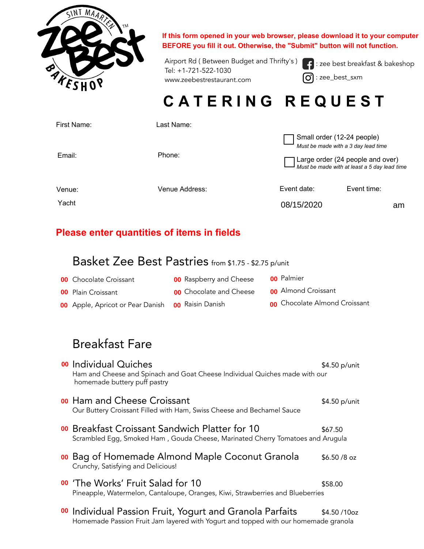

**If this form opened in your web browser, please download it to your computer BEFORE you fill it out. Otherwise, the "Submit" button will not function.**

Airport Rd ( Between Budget and Thrifty's ) Tel: +1-721-522-1030 www.zeebestrestaurant.com

 : zee best breakfast & bakeshop 0 : zee\_best\_sxm

# **C A T E R I N G R E Q U E S T**

| First Name: | Last Name:     |                                                                                  |             |    |
|-------------|----------------|----------------------------------------------------------------------------------|-------------|----|
|             |                | Small order (12-24 people)<br>Must be made with a 3 day lead time                |             |    |
| Email:      | Phone:         | Large order (24 people and over)<br>Must be made with at least a 5 day lead time |             |    |
| Venue:      | Venue Address: | Event date:                                                                      | Event time: |    |
| Yacht       |                | 08/15/2020                                                                       |             | am |
|             |                |                                                                                  |             |    |

### **Please enter quantities of items in fields**

## Basket Zee Best Pastries from \$1.75 - \$2.75 p/unit

| Yacht<br>08/15/2020                                  |                                |                            |  |  |
|------------------------------------------------------|--------------------------------|----------------------------|--|--|
| Please enter quantities of items in fields           |                                |                            |  |  |
| Basket Zee Best Pastries from \$1.75 - \$2.75 p/unit |                                |                            |  |  |
| <b>00</b> Chocolate Croissant                        | <b>00</b> Raspberry and Cheese | <b>00</b> Palmier          |  |  |
| <b>00</b> Plain Croissant                            | <b>00</b> Chocolate and Cheese | <b>00</b> Almond Croissant |  |  |
|                                                      |                                |                            |  |  |

## Breakfast Fare

| Yacht |                                                                                                                                                            |                                | 08/15/2020                 |                               | am |
|-------|------------------------------------------------------------------------------------------------------------------------------------------------------------|--------------------------------|----------------------------|-------------------------------|----|
|       | Please enter quantities of items in fields                                                                                                                 |                                |                            |                               |    |
|       | Basket Zee Best Pastries from \$1.75 - \$2.75 p/unit                                                                                                       |                                |                            |                               |    |
|       | <b>00</b> Chocolate Croissant                                                                                                                              | <b>00</b> Raspberry and Cheese | <b>00</b> Palmier          |                               |    |
|       | <b>00</b> Plain Croissant                                                                                                                                  | <b>00</b> Chocolate and Cheese | <b>00</b> Almond Croissant |                               |    |
|       | <b>00</b> Apple, Apricot or Pear Danish                                                                                                                    | <b>00</b> Raisin Danish        |                            | 00 Chocolate Almond Croissant |    |
|       |                                                                                                                                                            |                                |                            |                               |    |
|       | <b>Breakfast Fare</b>                                                                                                                                      |                                |                            |                               |    |
|       | 00 Individual Quiches<br>Ham and Cheese and Spinach and Goat Cheese Individual Quiches made with our<br>homemade buttery puff pastry                       |                                |                            | \$4.50 p/unit                 |    |
|       | <b>00 Ham and Cheese Croissant</b><br>Our Buttery Croissant Filled with Ham, Swiss Cheese and Bechamel Sauce                                               |                                |                            | \$4.50 p/unit                 |    |
|       | 00 Breakfast Croissant Sandwich Platter for 10<br>Scrambled Egg, Smoked Ham, Gouda Cheese, Marinated Cherry Tomatoes and Arugula                           |                                |                            | \$67.50                       |    |
|       | 00 Bag of Homemade Almond Maple Coconut Granola<br>Crunchy, Satisfying and Delicious!                                                                      |                                |                            | $$6.50/8$ oz                  |    |
|       | 00 'The Works' Fruit Salad for 10<br>Pineapple, Watermelon, Cantaloupe, Oranges, Kiwi, Strawberries and Blueberries                                        |                                |                            | \$58.00                       |    |
|       | <sup>00</sup> Individual Passion Fruit, Yogurt and Granola Parfaits<br>Homemade Passion Fruit Jam layered with Yogurt and topped with our homemade granola |                                |                            | \$4.50/10oz                   |    |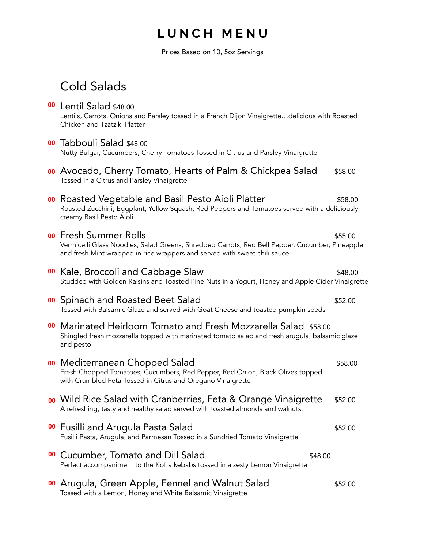## **L U N C H M E N U**

Prices Based on 10, 5oz Servings

## Cold Salads

## **00** Lentil Salad \$48.00 Lentils, Carrots, Onions and Parsley tossed in a French Dijon Vinaigrette…delicious with Roasted Chicken and Tzatziki Platter Tabbouli Salad \$48.00 Nutty Bulgar, Cucumbers, Cherry Tomatoes Tossed in Citrus and Parsley Vinaigrette oo Avocado, Cherry Tomato, Hearts of Palm & Chickpea Salad \$58.00 Tossed in a Citrus and Parsley Vinaigrette **00** Roasted Vegetable and Basil Pesto Aioli Platter **1988.00** \$58.00 Roasted Zucchini, Eggplant, Yellow Squash, Red Peppers and Tomatoes served with a deliciously creamy Basil Pesto Aioli Fresh Summer Rolls \$55.00 Vermicelli Glass Noodles, Salad Greens, Shredded Carrots, Red Bell Pepper, Cucumber, Pineapple and fresh Mint wrapped in rice wrappers and served with sweet chili sauce **00** Kale, Broccoli and Cabbage Slaw **\$48.00** \$48.00 Studded with Golden Raisins and Toasted Pine Nuts in a Yogurt, Honey and Apple Cider Vinaigrette **OO** Spinach and Roasted Beet Salad **\$52.00** \$52.00 Tossed with Balsamic Glaze and served with Goat Cheese and toasted pumpkin seeds **00** Marinated Heirloom Tomato and Fresh Mozzarella Salad \$58.00 Shingled fresh mozzarella topped with marinated tomato salad and fresh arugula, balsamic glaze and pesto **00** Mediterranean Chopped Salad **\$58.00** \$58.00 Fresh Chopped Tomatoes, Cucumbers, Red Pepper, Red Onion, Black Olives topped with Crumbled Feta Tossed in Citrus and Oregano Vinaigrette **00** Wild Rice Salad with Cranberries, Feta & Orange Vinaigrette \$52.00 A refreshing, tasty and healthy salad served with toasted almonds and walnuts. **OO** Fusilli and Arugula Pasta Salad **\$52.00** \$52.00 Fusilli Pasta, Arugula, and Parmesan Tossed in a Sundried Tomato Vinaigrette **00** Cucumber, Tomato and Dill Salad **\$48.00** \$48.00 Perfect accompaniment to the Kofta kebabs tossed in a zesty Lemon Vinaigrette **00** Arugula, Green Apple, Fennel and Walnut Salad  $$52.00$ **00000000000000000000000000**

Tossed with a Lemon, Honey and White Balsamic Vinaigrette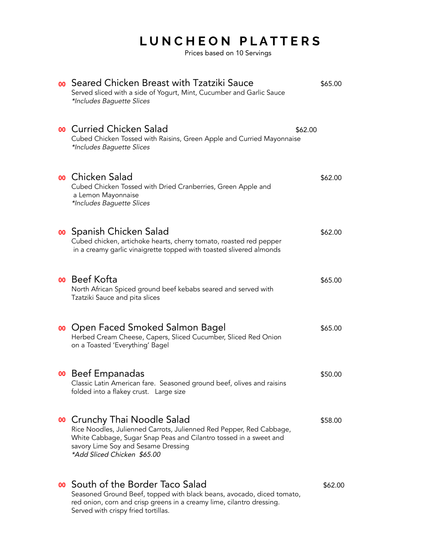# **L U N C H E O N P L A T T E R S**

Prices based on 10 Servings

| <b>00</b> Seared Chicken Breast with Tzatziki Sauce<br>Served sliced with a side of Yogurt, Mint, Cucumber and Garlic Sauce<br>*Includes Baguette Slices                                                                                              | \$65.00 |
|-------------------------------------------------------------------------------------------------------------------------------------------------------------------------------------------------------------------------------------------------------|---------|
| <b>00</b> Curried Chicken Salad<br>\$62.00<br>Cubed Chicken Tossed with Raisins, Green Apple and Curried Mayonnaise<br>*Includes Baguette Slices                                                                                                      |         |
| <b>00</b> Chicken Salad<br>Cubed Chicken Tossed with Dried Cranberries, Green Apple and<br>a Lemon Mayonnaise<br>*Includes Baguette Slices                                                                                                            | \$62.00 |
| <b>00</b> Spanish Chicken Salad<br>Cubed chicken, artichoke hearts, cherry tomato, roasted red pepper<br>in a creamy garlic vinaigrette topped with toasted slivered almonds                                                                          | \$62.00 |
| <b>00</b> Beef Kofta<br>North African Spiced ground beef kebabs seared and served with<br>Tzatziki Sauce and pita slices                                                                                                                              | \$65.00 |
| <b>00</b> Open Faced Smoked Salmon Bagel<br>Herbed Cream Cheese, Capers, Sliced Cucumber, Sliced Red Onion<br>on a Toasted 'Everything' Bagel                                                                                                         | \$65.00 |
| <b>00</b> Beef Empanadas<br>Classic Latin American fare. Seasoned ground beef, olives and raisins<br>folded into a flakey crust. Large size                                                                                                           | \$50.00 |
| <b>00</b> Crunchy Thai Noodle Salad<br>Rice Noodles, Julienned Carrots, Julienned Red Pepper, Red Cabbage,<br>White Cabbage, Sugar Snap Peas and Cilantro tossed in a sweet and<br>savory Lime Soy and Sesame Dressing<br>*Add Sliced Chicken \$65.00 | \$58.00 |
| <b>00</b> South of the Border Taco Salad<br>Seasoned Ground Beef, topped with black beans, avocado, diced tomato,<br>red onion, corn and crisp greens in a creamy lime, cilantro dressing.<br>Served with crispy fried tortillas.                     | \$62.00 |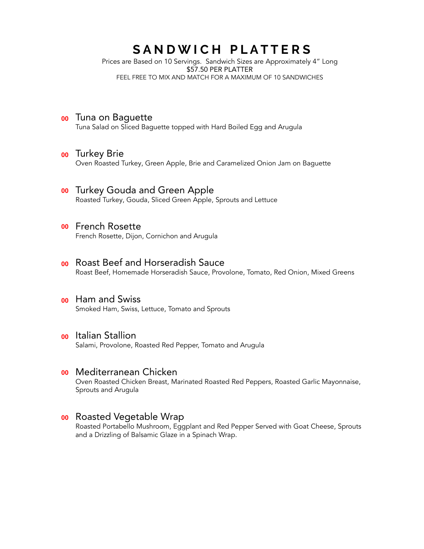## SANDWICH PLATTERS

Prices are Based on 10 Servings. Sandwich Sizes are Approximately 4" Long \$57.50 PER PLATTER FEEL FREE TO MIX AND MATCH FOR A MAXIMUM OF 10 SANDWICHES

#### **00** Tuna on Baquette

Tuna Salad on Sliced Baguette topped with Hard Boiled Egg and Arugula

# **00** Turkey Brie 00<br>00<br>00<br>00<br>00<br>00<br>00<br>00

Oven Roasted Turkey, Green Apple, Brie and Caramelized Onion Jam on Baguette

#### **00** Turkey Gouda and Green Apple

Roasted Turkey, Gouda, Sliced Green Apple, Sprouts and Lettuce

#### **00** French Rosette

French Rosette, Dijon, Cornichon and Arugula

#### **00** Roast Beef and Horseradish Sauce

Roast Beef, Homemade Horseradish Sauce, Provolone, Tomato, Red Onion, Mixed Greens

#### oo Ham and Swiss

Smoked Ham, Swiss, Lettuce, Tomato and Sprouts

#### o Italian Stallion

Salami, Provolone, Roasted Red Pepper, Tomato and Arugula

#### oo Mediterranean Chicken

Oven Roasted Chicken Breast, Marinated Roasted Red Peppers, Roasted Garlic Mayonnaise, Sprouts and Arugula

#### **00** Roasted Vegetable Wrap

Roasted Portabello Mushroom, Eggplant and Red Pepper Served with Goat Cheese, Sprouts and a Drizzling of Balsamic Glaze in a Spinach Wrap.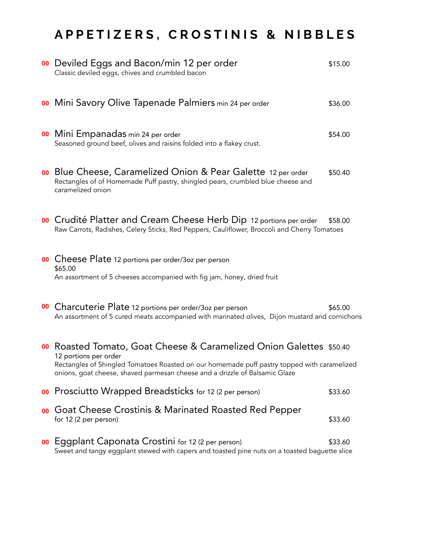# **A P P E T I Z E R S , C R O S T I N I S & N I B B L E S**

|    | 00 Deviled Eggs and Bacon/min 12 per order<br>Classic deviled eggs, chives and crumbled bacon                                                                                                                                                                              | \$15.00 |
|----|----------------------------------------------------------------------------------------------------------------------------------------------------------------------------------------------------------------------------------------------------------------------------|---------|
|    | <b>00</b> Mini Savory Olive Tapenade Palmiers min 24 per order                                                                                                                                                                                                             | \$36.00 |
|    | 00 Mini Empanadas min 24 per order<br>Seasoned ground beef, olives and raisins folded into a flakey crust.                                                                                                                                                                 | \$54.00 |
|    | <b>00</b> Blue Cheese, Caramelized Onion & Pear Galette 12 per order<br>Rectangles of of Homemade Puff pastry, shingled pears, crumbled blue cheese and<br>caramelized onion                                                                                               | \$50.40 |
|    | 00 Crudité Platter and Cream Cheese Herb Dip 12 portions per order<br>Raw Carrots, Radishes, Celery Sticks, Red Peppers, Cauliflower, Broccoli and Cherry Tomatoes                                                                                                         | \$58.00 |
|    | <b>00</b> Cheese Plate 12 portions per order/3oz per person<br>\$65.00<br>An assortment of 5 cheeses accompanied with fig jam, honey, dried fruit                                                                                                                          |         |
|    | 00 Charcuterie Plate 12 portions per order/3oz per person<br>An assortment of 5 cured meats accompanied with marinated olives, Dijon mustard and cornichons                                                                                                                | \$65.00 |
|    | 00 Roasted Tomato, Goat Cheese & Caramelized Onion Galettes \$50.40<br>12 portions per order<br>Rectangles of Shingled Tomatoes Roasted on our homemade puff pastry topped with caramelized<br>onions, goat cheese, shaved parmesan cheese and a drizzle of Balsamic Glaze |         |
|    | 00 Prosciutto Wrapped Breadsticks for 12 (2 per person)                                                                                                                                                                                                                    | \$33.60 |
| 00 | Goat Cheese Crostinis & Marinated Roasted Red Pepper<br>for 12 (2 per person)                                                                                                                                                                                              | \$33.60 |
|    | <b>00</b> Eggplant Caponata Crostini for 12 (2 per person)<br>Sweet and tangy eggplant stewed with capers and toasted pine nuts on a toasted baguette slice                                                                                                                | \$33.60 |